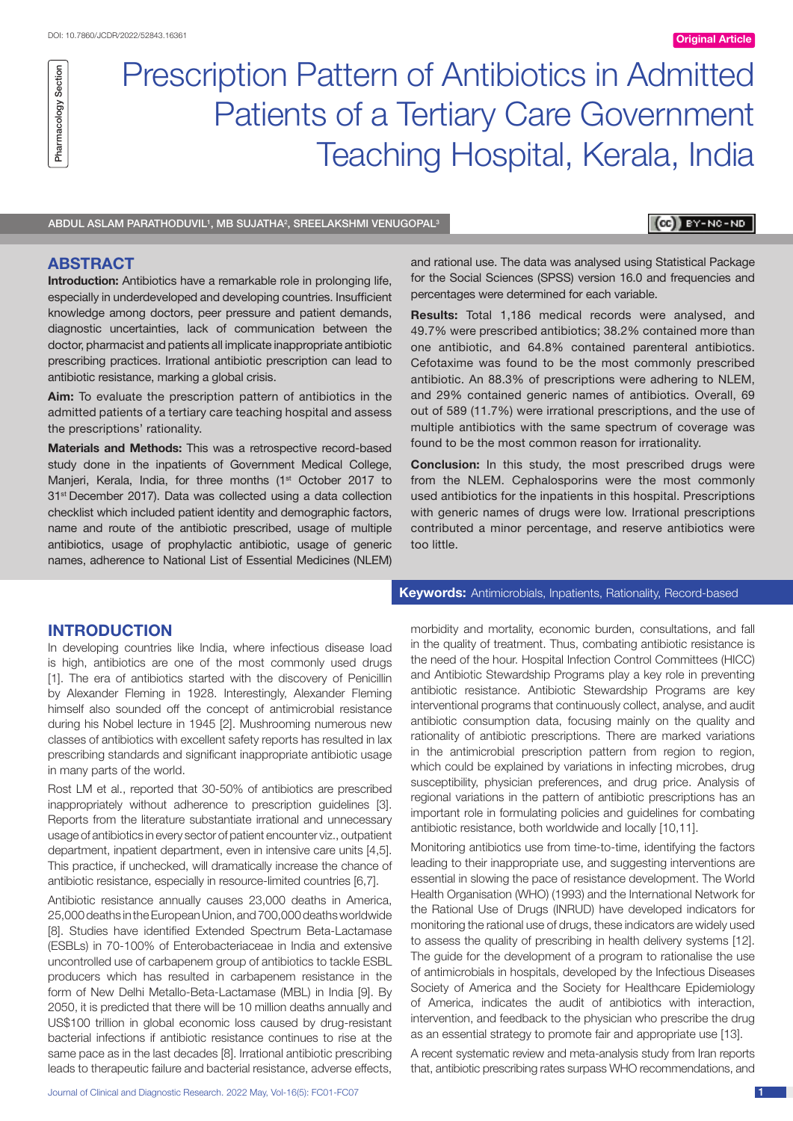# Prescription Pattern of Antibiotics in Admitted Patients of a Tertiary Care Government Teaching Hospital, Kerala, India

ABDUL ASLAM PARATHODUVIL', MB SUJATHA<del>'</del>, SREELAKSHMI VENUGOPAL<sup>3</sup>

# **CBI** BY-NC-ND

# **ABSTRACT**

Pharmacology Section

Pharmacology Section

**Introduction:** Antibiotics have a remarkable role in prolonging life, especially in underdeveloped and developing countries. Insufficient knowledge among doctors, peer pressure and patient demands, diagnostic uncertainties, lack of communication between the doctor, pharmacist and patients all implicate inappropriate antibiotic prescribing practices. Irrational antibiotic prescription can lead to antibiotic resistance, marking a global crisis.

**Aim:** To evaluate the prescription pattern of antibiotics in the admitted patients of a tertiary care teaching hospital and assess the prescriptions' rationality.

**Materials and Methods:** This was a retrospective record-based study done in the inpatients of Government Medical College, Manjeri, Kerala, India, for three months (1<sup>st</sup> October 2017 to 31st December 2017). Data was collected using a data collection checklist which included patient identity and demographic factors, name and route of the antibiotic prescribed, usage of multiple antibiotics, usage of prophylactic antibiotic, usage of generic names, adherence to National List of Essential Medicines (NLEM)

and rational use. The data was analysed using Statistical Package for the Social Sciences (SPSS) version 16.0 and frequencies and percentages were determined for each variable.

**Results:** Total 1,186 medical records were analysed, and 49.7% were prescribed antibiotics; 38.2% contained more than one antibiotic, and 64.8% contained parenteral antibiotics. Cefotaxime was found to be the most commonly prescribed antibiotic. An 88.3% of prescriptions were adhering to NLEM, and 29% contained generic names of antibiotics. Overall, 69 out of 589 (11.7%) were irrational prescriptions, and the use of multiple antibiotics with the same spectrum of coverage was found to be the most common reason for irrationality.

**Conclusion:** In this study, the most prescribed drugs were from the NLEM. Cephalosporins were the most commonly used antibiotics for the inpatients in this hospital. Prescriptions with generic names of drugs were low. Irrational prescriptions contributed a minor percentage, and reserve antibiotics were too little.

# **INTRODUCTION**

In developing countries like India, where infectious disease load is high, antibiotics are one of the most commonly used drugs [1]. The era of antibiotics started with the discovery of Penicillin by Alexander Fleming in 1928. Interestingly, Alexander Fleming himself also sounded off the concept of antimicrobial resistance during his Nobel lecture in 1945 [2]. Mushrooming numerous new classes of antibiotics with excellent safety reports has resulted in lax prescribing standards and significant inappropriate antibiotic usage in many parts of the world.

Rost LM et al., reported that 30-50% of antibiotics are prescribed inappropriately without adherence to prescription guidelines [3]. Reports from the literature substantiate irrational and unnecessary usage of antibiotics in every sector of patient encounter viz., outpatient department, inpatient department, even in intensive care units [4,5]. This practice, if unchecked, will dramatically increase the chance of antibiotic resistance, especially in resource-limited countries [6,7].

Antibiotic resistance annually causes 23,000 deaths in America, 25,000 deaths in the European Union, and 700,000 deaths worldwide [8]. Studies have identified Extended Spectrum Beta-Lactamase (ESBLs) in 70-100% of Enterobacteriaceae in India and extensive uncontrolled use of carbapenem group of antibiotics to tackle ESBL producers which has resulted in carbapenem resistance in the form of New Delhi Metallo-Beta-Lactamase (MBL) in India [9]. By 2050, it is predicted that there will be 10 million deaths annually and US\$100 trillion in global economic loss caused by drug-resistant bacterial infections if antibiotic resistance continues to rise at the same pace as in the last decades [8]. Irrational antibiotic prescribing leads to therapeutic failure and bacterial resistance, adverse effects,

**Keywords:** Antimicrobials, Inpatients, Rationality, Record-based

morbidity and mortality, economic burden, consultations, and fall in the quality of treatment. Thus, combating antibiotic resistance is the need of the hour. Hospital Infection Control Committees (HICC) and Antibiotic Stewardship Programs play a key role in preventing antibiotic resistance. Antibiotic Stewardship Programs are key interventional programs that continuously collect, analyse, and audit antibiotic consumption data, focusing mainly on the quality and rationality of antibiotic prescriptions. There are marked variations in the antimicrobial prescription pattern from region to region, which could be explained by variations in infecting microbes, drug susceptibility, physician preferences, and drug price. Analysis of regional variations in the pattern of antibiotic prescriptions has an important role in formulating policies and guidelines for combating antibiotic resistance, both worldwide and locally [10,11].

Monitoring antibiotics use from time-to-time, identifying the factors leading to their inappropriate use, and suggesting interventions are essential in slowing the pace of resistance development. The World Health Organisation (WHO) (1993) and the International Network for the Rational Use of Drugs (INRUD) have developed indicators for monitoring the rational use of drugs, these indicators are widely used to assess the quality of prescribing in health delivery systems [12]. The quide for the development of a program to rationalise the use of antimicrobials in hospitals, developed by the Infectious Diseases Society of America and the Society for Healthcare Epidemiology of America, indicates the audit of antibiotics with interaction, intervention, and feedback to the physician who prescribe the drug as an essential strategy to promote fair and appropriate use [13].

A recent systematic review and meta-analysis study from Iran reports that, antibiotic prescribing rates surpass WHO recommendations, and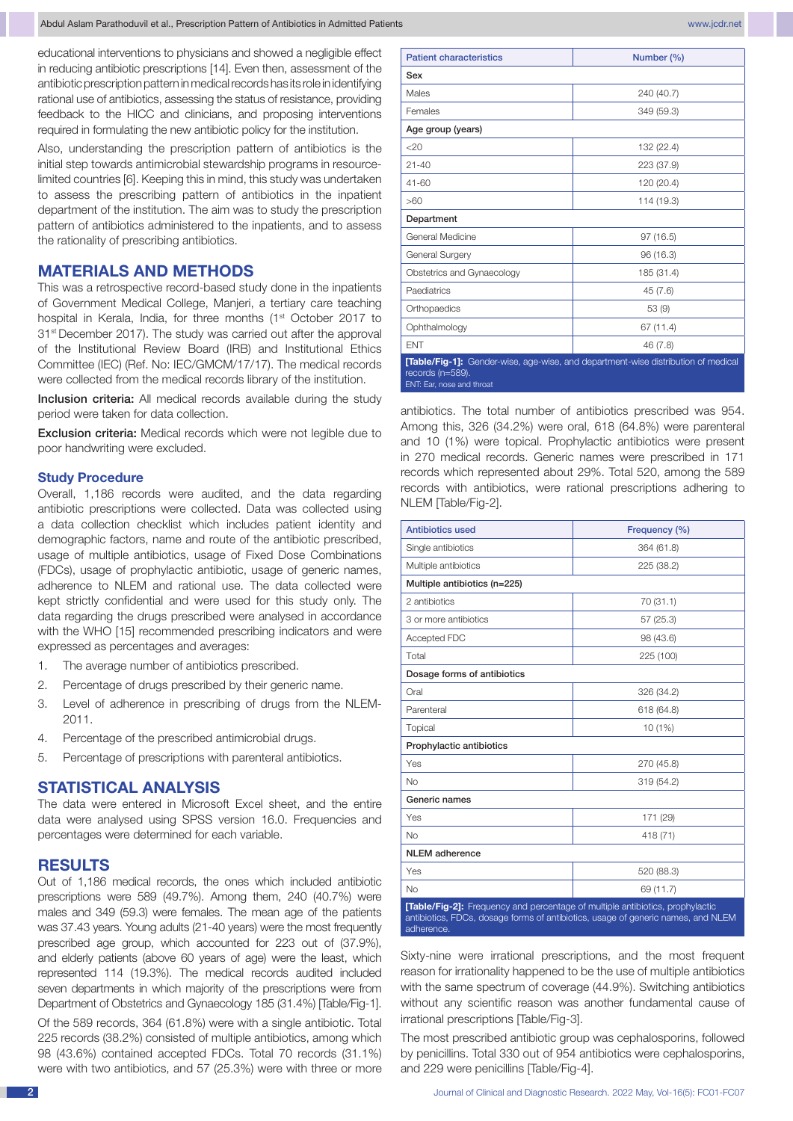educational interventions to physicians and showed a negligible effect in reducing antibiotic prescriptions [14]. Even then, assessment of the antibiotic prescription pattern in medical records has its role in identifying rational use of antibiotics, assessing the status of resistance, providing feedback to the HICC and clinicians, and proposing interventions required in formulating the new antibiotic policy for the institution.

Also, understanding the prescription pattern of antibiotics is the initial step towards antimicrobial stewardship programs in resourcelimited countries [6]. Keeping this in mind, this study was undertaken to assess the prescribing pattern of antibiotics in the inpatient department of the institution. The aim was to study the prescription pattern of antibiotics administered to the inpatients, and to assess the rationality of prescribing antibiotics.

# **MATERIALS AND METHODS**

This was a retrospective record-based study done in the inpatients of Government Medical College, Manjeri, a tertiary care teaching hospital in Kerala, India, for three months (1<sup>st</sup> October 2017 to 31<sup>st</sup> December 2017). The study was carried out after the approval of the Institutional Review Board (IRB) and Institutional Ethics Committee (IEC) (Ref. No: IEC/GMCM/17/17). The medical records were collected from the medical records library of the institution.

Inclusion criteria: All medical records available during the study period were taken for data collection.

Exclusion criteria: Medical records which were not legible due to poor handwriting were excluded.

### **Study Procedure**

Overall, 1,186 records were audited, and the data regarding antibiotic prescriptions were collected. Data was collected using a data collection checklist which includes patient identity and demographic factors, name and route of the antibiotic prescribed, usage of multiple antibiotics, usage of Fixed Dose Combinations (FDCs), usage of prophylactic antibiotic, usage of generic names, adherence to NLEM and rational use. The data collected were kept strictly confidential and were used for this study only. The data regarding the drugs prescribed were analysed in accordance with the WHO [15] recommended prescribing indicators and were expressed as percentages and averages:

- 1. The average number of antibiotics prescribed.
- 2. Percentage of drugs prescribed by their generic name.
- 3. Level of adherence in prescribing of drugs from the NLEM-2011.
- 4. Percentage of the prescribed antimicrobial drugs.
- 5. Percentage of prescriptions with parenteral antibiotics.

### **STATISTICAL ANALYSIS**

The data were entered in Microsoft Excel sheet, and the entire data were analysed using SPSS version 16.0. Frequencies and percentages were determined for each variable.

# **RESULTS**

Out of 1,186 medical records, the ones which included antibiotic prescriptions were 589 (49.7%). Among them, 240 (40.7%) were males and 349 (59.3) were females. The mean age of the patients was 37.43 years. Young adults (21-40 years) were the most frequently prescribed age group, which accounted for 223 out of (37.9%), and elderly patients (above 60 years of age) were the least, which represented 114 (19.3%). The medical records audited included seven departments in which majority of the prescriptions were from Department of Obstetrics and Gynaecology 185 (31.4%) [Table/Fig-1].

Of the 589 records, 364 (61.8%) were with a single antibiotic. Total 225 records (38.2%) consisted of multiple antibiotics, among which 98 (43.6%) contained accepted FDCs. Total 70 records (31.1%) were with two antibiotics, and 57 (25.3%) were with three or more

| <b>Patient characteristics</b>                | Number (%)                                                                        |  |  |  |  |
|-----------------------------------------------|-----------------------------------------------------------------------------------|--|--|--|--|
| Sex                                           |                                                                                   |  |  |  |  |
| Males                                         | 240 (40.7)                                                                        |  |  |  |  |
| Females                                       | 349 (59.3)                                                                        |  |  |  |  |
| Age group (years)                             |                                                                                   |  |  |  |  |
| $<$ 20                                        | 132 (22.4)                                                                        |  |  |  |  |
| $21 - 40$                                     | 223 (37.9)                                                                        |  |  |  |  |
| $41 - 60$                                     | 120 (20.4)                                                                        |  |  |  |  |
| >60                                           | 114 (19.3)                                                                        |  |  |  |  |
| Department                                    |                                                                                   |  |  |  |  |
| General Medicine                              | 97(16.5)                                                                          |  |  |  |  |
| General Surgery                               | 96 (16.3)                                                                         |  |  |  |  |
| Obstetrics and Gynaecology                    | 185 (31.4)                                                                        |  |  |  |  |
| Paediatrics                                   | 45 (7.6)                                                                          |  |  |  |  |
| Orthopaedics                                  | 53(9)                                                                             |  |  |  |  |
| Ophthalmology                                 | 67 (11.4)                                                                         |  |  |  |  |
| <b>ENT</b>                                    | 46 (7.8)                                                                          |  |  |  |  |
| records (n=589).<br>ENT: Ear, nose and throat | [Table/Fig-1]: Gender-wise, age-wise, and department-wise distribution of medical |  |  |  |  |

antibiotics. The total number of antibiotics prescribed was 954. Among this, 326 (34.2%) were oral, 618 (64.8%) were parenteral and 10 (1%) were topical. Prophylactic antibiotics were present in 270 medical records. Generic names were prescribed in 171 records which represented about 29%. Total 520, among the 589 records with antibiotics, were rational prescriptions adhering to NLEM [Table/Fig-2].

| <b>Antibiotics used</b>                                                                                                                                                         | Frequency (%) |  |  |  |  |  |  |
|---------------------------------------------------------------------------------------------------------------------------------------------------------------------------------|---------------|--|--|--|--|--|--|
| Single antibiotics                                                                                                                                                              | 364 (61.8)    |  |  |  |  |  |  |
| Multiple antibiotics                                                                                                                                                            | 225 (38.2)    |  |  |  |  |  |  |
| Multiple antibiotics (n=225)                                                                                                                                                    |               |  |  |  |  |  |  |
| 2 antibiotics                                                                                                                                                                   | 70 (31.1)     |  |  |  |  |  |  |
| 3 or more antibiotics                                                                                                                                                           | 57 (25.3)     |  |  |  |  |  |  |
| Accepted FDC                                                                                                                                                                    | 98 (43.6)     |  |  |  |  |  |  |
| Total                                                                                                                                                                           | 225 (100)     |  |  |  |  |  |  |
| Dosage forms of antibiotics                                                                                                                                                     |               |  |  |  |  |  |  |
| Oral                                                                                                                                                                            | 326 (34.2)    |  |  |  |  |  |  |
| Parenteral                                                                                                                                                                      | 618 (64.8)    |  |  |  |  |  |  |
| Topical                                                                                                                                                                         | 10 (1%)       |  |  |  |  |  |  |
| Prophylactic antibiotics                                                                                                                                                        |               |  |  |  |  |  |  |
| Yes                                                                                                                                                                             | 270 (45.8)    |  |  |  |  |  |  |
| <b>No</b>                                                                                                                                                                       | 319 (54.2)    |  |  |  |  |  |  |
| Generic names                                                                                                                                                                   |               |  |  |  |  |  |  |
| Yes                                                                                                                                                                             | 171 (29)      |  |  |  |  |  |  |
| <b>No</b>                                                                                                                                                                       | 418 (71)      |  |  |  |  |  |  |
| <b>NLEM</b> adherence                                                                                                                                                           |               |  |  |  |  |  |  |
| Yes                                                                                                                                                                             | 520 (88.3)    |  |  |  |  |  |  |
| No                                                                                                                                                                              | 69 (11.7)     |  |  |  |  |  |  |
| [Table/Fig-2]: Frequency and percentage of multiple antibiotics, prophylactic<br>antibiotics, FDCs, dosage forms of antibiotics, usage of generic names, and NLEM<br>adherence. |               |  |  |  |  |  |  |

Sixty-nine were irrational prescriptions, and the most frequent reason for irrationality happened to be the use of multiple antibiotics with the same spectrum of coverage (44.9%). Switching antibiotics without any scientific reason was another fundamental cause of irrational prescriptions [Table/Fig-3].

The most prescribed antibiotic group was cephalosporins, followed by penicillins. Total 330 out of 954 antibiotics were cephalosporins, and 229 were penicillins [Table/Fig-4].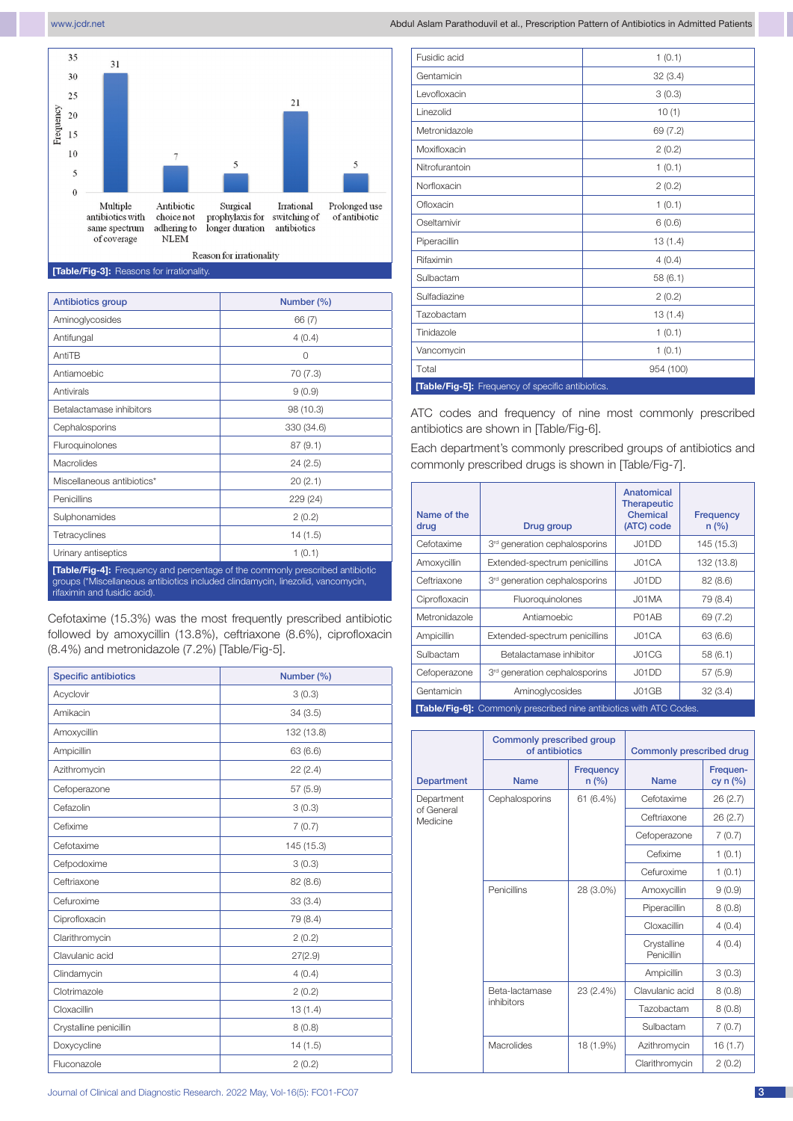

**[Table/Fig-3]:** Reasons for irrationality.

| <b>Antibiotics group</b>                                                                                                                                                                         | Number (%) |  |  |  |  |  |  |
|--------------------------------------------------------------------------------------------------------------------------------------------------------------------------------------------------|------------|--|--|--|--|--|--|
| Aminoglycosides                                                                                                                                                                                  | 66 (7)     |  |  |  |  |  |  |
| Antifungal                                                                                                                                                                                       | 4(0.4)     |  |  |  |  |  |  |
| AntiTB                                                                                                                                                                                           | 0          |  |  |  |  |  |  |
| Antiamoebic                                                                                                                                                                                      | 70 (7.3)   |  |  |  |  |  |  |
| Antivirals                                                                                                                                                                                       | 9(0.9)     |  |  |  |  |  |  |
| Betalactamase inhibitors                                                                                                                                                                         | 98 (10.3)  |  |  |  |  |  |  |
| Cephalosporins                                                                                                                                                                                   | 330 (34.6) |  |  |  |  |  |  |
| Fluroquinolones                                                                                                                                                                                  | 87(9.1)    |  |  |  |  |  |  |
| Macrolides                                                                                                                                                                                       | 24(2.5)    |  |  |  |  |  |  |
| Miscellaneous antibiotics*                                                                                                                                                                       | 20(2.1)    |  |  |  |  |  |  |
| Penicillins                                                                                                                                                                                      | 229 (24)   |  |  |  |  |  |  |
| Sulphonamides                                                                                                                                                                                    | 2(0.2)     |  |  |  |  |  |  |
| Tetracyclines                                                                                                                                                                                    | 14(1.5)    |  |  |  |  |  |  |
| Urinary antiseptics                                                                                                                                                                              | 1(0.1)     |  |  |  |  |  |  |
| [Table/Fig-4]: Frequency and percentage of the commonly prescribed antibiotic<br>groups (*Miscellaneous antibiotics included clindamycin, linezolid, vancomycin,<br>rifaximin and fusidic acid). |            |  |  |  |  |  |  |

Cefotaxime (15.3%) was the most frequently prescribed antibiotic followed by amoxycillin (13.8%), ceftriaxone (8.6%), ciprofloxacin (8.4%) and metronidazole (7.2%) [Table/Fig-5].

| <b>Specific antibiotics</b> | Number (%) |  |  |  |  |
|-----------------------------|------------|--|--|--|--|
| Acyclovir                   | 3(0.3)     |  |  |  |  |
| Amikacin                    | 34(3.5)    |  |  |  |  |
| Amoxycillin                 | 132 (13.8) |  |  |  |  |
| Ampicillin                  | 63 (6.6)   |  |  |  |  |
| Azithromycin                | 22(2.4)    |  |  |  |  |
| Cefoperazone                | 57(5.9)    |  |  |  |  |
| Cefazolin                   | 3(0.3)     |  |  |  |  |
| Cefixime                    | 7(0.7)     |  |  |  |  |
| Cefotaxime                  | 145 (15.3) |  |  |  |  |
| Cefpodoxime                 | 3(0.3)     |  |  |  |  |
| Ceftriaxone                 | 82 (8.6)   |  |  |  |  |
| Cefuroxime                  | 33(3.4)    |  |  |  |  |
| Ciprofloxacin               | 79 (8.4)   |  |  |  |  |
| Clarithromycin              | 2(0.2)     |  |  |  |  |
| Clavulanic acid             | 27(2.9)    |  |  |  |  |
| Clindamycin                 | 4(0.4)     |  |  |  |  |
| Clotrimazole                | 2(0.2)     |  |  |  |  |
| Cloxacillin                 | 13(1.4)    |  |  |  |  |
| Crystalline penicillin      | 8(0.8)     |  |  |  |  |
| Doxycycline                 | 14 (1.5)   |  |  |  |  |
| Fluconazole                 | 2(0.2)     |  |  |  |  |

| Fusidic acid                                      | 1(0.1)    |  |  |  |  |  |  |  |
|---------------------------------------------------|-----------|--|--|--|--|--|--|--|
| Gentamicin                                        | 32(3.4)   |  |  |  |  |  |  |  |
| Levofloxacin                                      | 3(0.3)    |  |  |  |  |  |  |  |
| Linezolid                                         | 10(1)     |  |  |  |  |  |  |  |
| Metronidazole                                     | 69 (7.2)  |  |  |  |  |  |  |  |
| Moxifloxacin                                      | 2(0.2)    |  |  |  |  |  |  |  |
| Nitrofurantoin                                    | 1(0.1)    |  |  |  |  |  |  |  |
| Norfloxacin                                       | 2(0.2)    |  |  |  |  |  |  |  |
| Ofloxacin                                         | 1(0.1)    |  |  |  |  |  |  |  |
| Oseltamivir                                       | 6(0.6)    |  |  |  |  |  |  |  |
| Piperacillin                                      | 13(1.4)   |  |  |  |  |  |  |  |
| Rifaximin                                         | 4(0.4)    |  |  |  |  |  |  |  |
| Sulbactam                                         | 58(6.1)   |  |  |  |  |  |  |  |
| Sulfadiazine                                      | 2(0.2)    |  |  |  |  |  |  |  |
| Tazobactam                                        | 13(1.4)   |  |  |  |  |  |  |  |
| Tinidazole                                        | 1(0.1)    |  |  |  |  |  |  |  |
| Vancomycin                                        | 1(0.1)    |  |  |  |  |  |  |  |
| Total                                             | 954 (100) |  |  |  |  |  |  |  |
| [Table/Fig-5]: Frequency of specific antibiotics. |           |  |  |  |  |  |  |  |

ATC codes and frequency of nine most commonly prescribed antibiotics are shown in [Table/Fig-6].

Each department's commonly prescribed groups of antibiotics and commonly prescribed drugs is shown in [Table/Fig-7].

| Name of the<br>drug | Drug group                                | Anatomical<br><b>Therapeutic</b><br><b>Chemical</b><br>(ATC) code | <b>Frequency</b><br>n (%) |
|---------------------|-------------------------------------------|-------------------------------------------------------------------|---------------------------|
| Cefotaxime          | 3 <sup>rd</sup> generation cephalosporins | J01DD                                                             | 145 (15.3)                |
| Amoxycillin         | Extended-spectrum penicillins             | J01CA                                                             | 132 (13.8)                |
| Ceftriaxone         | 3 <sup>rd</sup> generation cephalosporins | J01DD                                                             | 82(8.6)                   |
| Ciprofloxacin       | Fluoroquinolones                          | J01MA                                                             | 79 (8.4)                  |
| Metronidazole       | Antiamoebic                               | P01AB                                                             | 69 (7.2)                  |
| Ampicillin          | Extended-spectrum penicillins             | J01CA                                                             | 63 (6.6)                  |
| Sulbactam           | Betalactamase inhibitor                   | J01CG                                                             | 58(6.1)                   |
| Cefoperazone        | 3 <sup>rd</sup> generation cephalosporins | J01DD                                                             | 57(5.9)                   |
| Gentamicin          | Aminoglycosides                           | J01GB                                                             | 32(3.4)                   |

**[Table/Fig-6]:** Commonly prescribed nine antibiotics with ATC Co

|                        | Commonly prescribed group<br>of antibiotics |                          | <b>Commonly prescribed drug</b> |                        |  |  |
|------------------------|---------------------------------------------|--------------------------|---------------------------------|------------------------|--|--|
| <b>Department</b>      | <b>Name</b>                                 | <b>Frequency</b><br>n(%) | <b>Name</b>                     | Frequen-<br>cy $n$ (%) |  |  |
| Department             | Cephalosporins                              | 61 (6.4%)                | Cefotaxime                      | 26(2.7)                |  |  |
| of General<br>Medicine |                                             |                          | Ceftriaxone                     | 26(2.7)                |  |  |
|                        |                                             |                          | Cefoperazone                    | 7(0.7)                 |  |  |
|                        |                                             |                          | Cefixime                        | 1(0.1)                 |  |  |
|                        |                                             |                          | Cefuroxime                      | 1(0.1)                 |  |  |
|                        | Penicillins                                 | 28 (3.0%)                | Amoxycillin                     | 9(0.9)                 |  |  |
|                        |                                             |                          | Piperacillin                    | 8(0.8)                 |  |  |
|                        |                                             |                          | Cloxacillin                     | 4(0.4)                 |  |  |
|                        |                                             |                          | Crystalline<br>Penicillin       | 4(0.4)                 |  |  |
|                        |                                             |                          | Ampicillin                      | 3(0.3)                 |  |  |
|                        | Beta-lactamase                              | 23 (2.4%)                | Clavulanic acid                 | 8(0.8)                 |  |  |
|                        | inhibitors                                  |                          | Tazobactam                      | 8(0.8)                 |  |  |
|                        |                                             |                          | Sulbactam                       | 7(0.7)                 |  |  |
|                        | Macrolides                                  | 18 (1.9%)                | Azithromycin                    | 16(1.7)                |  |  |
|                        |                                             |                          | Clarithromycin                  | 2(0.2)                 |  |  |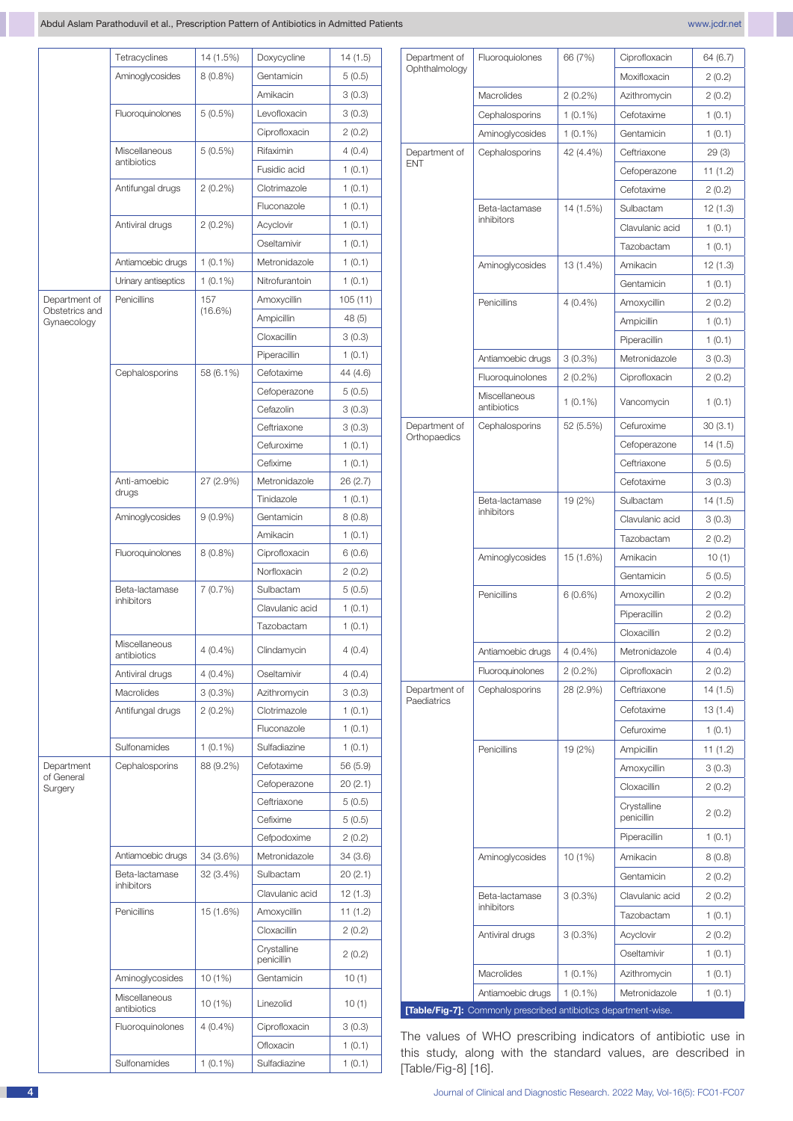|                               | Tetracyclines                | 14 (1.5%)  | Doxycycline     | 14(1.5)  | Department of      | Fluoroquiolones                                                                                                         | 66 (7%)    | Ciprofloxacin             | 64 (6.7) |
|-------------------------------|------------------------------|------------|-----------------|----------|--------------------|-------------------------------------------------------------------------------------------------------------------------|------------|---------------------------|----------|
|                               | Aminoglycosides              | $8(0.8\%)$ | Gentamicin      | 5(0.5)   | Ophthalmology      |                                                                                                                         |            | Moxifloxacin              | 2(0.2)   |
|                               |                              |            | Amikacin        | 3(0.3)   |                    | Macrolides                                                                                                              | $2(0.2\%)$ | Azithromycin              | 2(0.2)   |
|                               | Fluoroquinolones             | $5(0.5\%)$ | Levofloxacin    | 3(0.3)   |                    | Cephalosporins                                                                                                          | $1(0.1\%)$ | Cefotaxime                | 1(0.1)   |
|                               |                              |            | Ciprofloxacin   | 2(0.2)   |                    | Aminoglycosides                                                                                                         | $1(0.1\%)$ | Gentamicin                | 1(0.1)   |
|                               | Miscellaneous                | $5(0.5\%)$ | Rifaximin       | 4(0.4)   | Department of      | Cephalosporins                                                                                                          | 42 (4.4%)  | Ceftriaxone               | 29(3)    |
|                               | antibiotics                  |            | Fusidic acid    | 1(0.1)   | <b>ENT</b>         |                                                                                                                         |            | Cefoperazone              | 11(1.2)  |
|                               | Antifungal drugs             | $2(0.2\%)$ | Clotrimazole    | 1(0.1)   |                    |                                                                                                                         |            | Cefotaxime                | 2(0.2)   |
|                               |                              |            | Fluconazole     | 1(0.1)   |                    | Beta-lactamase                                                                                                          | 14 (1.5%)  | Sulbactam                 | 12(1.3)  |
|                               | Antiviral drugs              | $2(0.2\%)$ | Acyclovir       | 1(0.1)   |                    | inhibitors                                                                                                              |            | Clavulanic acid           | 1(0.1)   |
|                               |                              |            | Oseltamivir     | 1(0.1)   |                    |                                                                                                                         |            | Tazobactam                | 1(0.1)   |
|                               | Antiamoebic drugs            | $1(0.1\%)$ | Metronidazole   | 1(0.1)   |                    | Aminoglycosides                                                                                                         | 13 (1.4%)  | Amikacin                  | 12(1.3)  |
|                               | Urinary antiseptics          | $1(0.1\%)$ | Nitrofurantoin  | 1(0.1)   |                    |                                                                                                                         |            | Gentamicin                | 1(0.1)   |
| Department of                 | Penicillins                  | 157        | Amoxycillin     | 105(11)  |                    | Penicillins                                                                                                             | $4(0.4\%)$ | Amoxycillin               | 2(0.2)   |
| Obstetrics and<br>Gynaecology |                              | $(16.6\%)$ | Ampicillin      | 48(5)    |                    |                                                                                                                         |            | Ampicillin                | 1(0.1)   |
|                               |                              |            | Cloxacillin     | 3(0.3)   |                    |                                                                                                                         |            | Piperacillin              | 1(0.1)   |
|                               |                              |            | Piperacillin    | 1(0.1)   |                    | Antiamoebic drugs                                                                                                       | $3(0.3\%)$ | Metronidazole             | 3(0.3)   |
|                               | Cephalosporins               | 58 (6.1%)  | Cefotaxime      | 44 (4.6) |                    | Fluoroquinolones                                                                                                        | $2(0.2\%)$ | Ciprofloxacin             | 2(0.2)   |
|                               |                              |            | Cefoperazone    | 5(0.5)   |                    | Miscellaneous                                                                                                           |            |                           |          |
|                               |                              |            | Cefazolin       | 3(0.3)   |                    | antibiotics                                                                                                             | $1(0.1\%)$ | Vancomycin                | 1(0.1)   |
|                               |                              |            | Ceftriaxone     | 3(0.3)   | Department of      | Cephalosporins                                                                                                          | 52 (5.5%)  | Cefuroxime                | 30(3.1)  |
|                               |                              |            | Cefuroxime      | 1(0.1)   | Orthopaedics       |                                                                                                                         |            | Cefoperazone              | 14(1.5)  |
|                               |                              |            | Cefixime        | 1(0.1)   |                    |                                                                                                                         |            | Ceftriaxone               | 5(0.5)   |
|                               | Anti-amoebic                 | 27 (2.9%)  | Metronidazole   | 26 (2.7) |                    |                                                                                                                         |            | Cefotaxime                | 3(0.3)   |
|                               | drugs                        |            | Tinidazole      | 1(0.1)   |                    | Beta-lactamase                                                                                                          | 19 (2%)    | Sulbactam                 | 14(1.5)  |
|                               | Aminoglycosides              | $9(0.9\%)$ | Gentamicin      | 8(0.8)   |                    | inhibitors                                                                                                              |            | Clavulanic acid           | 3(0.3)   |
|                               |                              |            | Amikacin        | 1(0.1)   |                    |                                                                                                                         |            | Tazobactam                | 2(0.2)   |
|                               | Fluoroquinolones             | $8(0.8\%)$ | Ciprofloxacin   | 6(0.6)   |                    | Aminoglycosides                                                                                                         | 15 (1.6%)  | Amikacin                  | 10(1)    |
|                               |                              |            | Norfloxacin     | 2(0.2)   |                    |                                                                                                                         |            | Gentamicin                | 5(0.5)   |
|                               | Beta-lactamase               | 7 (0.7%)   | Sulbactam       | 5(0.5)   |                    | Penicillins                                                                                                             | 6(0.6%)    | Amoxycillin               | 2(0.2)   |
|                               | inhibitors                   |            | Clavulanic acid | 1(0.1)   |                    |                                                                                                                         |            | Piperacillin              | 2(0.2)   |
|                               |                              |            | Tazobactam      | 1(0.1)   |                    |                                                                                                                         |            | Cloxacillin               | 2(0.2)   |
|                               | Miscellaneous<br>antibiotics | $4(0.4\%)$ | Clindamycin     | 4(0.4)   |                    | Antiamoebic drugs                                                                                                       | $4(0.4\%)$ | Metronidazole             | 4(0.4)   |
|                               | Antiviral drugs              | $4(0.4\%)$ | Oseltamivir     | 4(0.4)   |                    | Fluoroquinolones                                                                                                        | $2(0.2\%)$ | Ciprofloxacin             | 2(0.2)   |
|                               | Macrolides                   | $3(0.3\%)$ | Azithromycin    | 3(0.3)   | Department of      | Cephalosporins                                                                                                          | 28 (2.9%)  | Ceftriaxone               | 14(1.5)  |
|                               | Antifungal drugs             | $2(0.2\%)$ | Clotrimazole    | 1(0.1)   | Paediatrics        |                                                                                                                         |            | Cefotaxime                | 13(1.4)  |
|                               |                              |            | Fluconazole     | 1(0.1)   |                    |                                                                                                                         |            | Cefuroxime                | 1(0.1)   |
|                               | Sulfonamides                 | $1(0.1\%)$ | Sulfadiazine    | 1(0.1)   |                    |                                                                                                                         |            |                           |          |
| Department                    | Cephalosporins               | 88 (9.2%)  | Cefotaxime      | 56 (5.9) |                    | Penicillins                                                                                                             | 19 (2%)    | Ampicillin                | 11(1.2)  |
| of General                    |                              |            | Cefoperazone    | 20(2.1)  |                    |                                                                                                                         |            | Amoxycillin               | 3(0.3)   |
| Surgery                       |                              |            | Ceftriaxone     | 5(0.5)   |                    |                                                                                                                         |            | Cloxacillin               | 2(0.2)   |
|                               |                              |            | Cefixime        | 5(0.5)   |                    |                                                                                                                         |            | Crystalline<br>penicillin | 2(0.2)   |
|                               |                              |            | Cefpodoxime     | 2(0.2)   |                    |                                                                                                                         |            | Piperacillin              | 1(0.1)   |
|                               | Antiamoebic drugs            | 34 (3.6%)  | Metronidazole   | 34(3.6)  |                    | Aminoglycosides                                                                                                         | 10(1%)     | Amikacin                  | 8(0.8)   |
|                               | Beta-lactamase               | 32 (3.4%)  | Sulbactam       | 20(2.1)  |                    |                                                                                                                         |            | Gentamicin                | 2(0.2)   |
|                               | inhibitors                   |            | Clavulanic acid | 12(1.3)  |                    | Beta-lactamase                                                                                                          | $3(0.3\%)$ | Clavulanic acid           | 2(0.2)   |
|                               | Penicillins                  | 15 (1.6%)  | Amoxycillin     | 11(1.2)  |                    | inhibitors                                                                                                              |            |                           |          |
|                               |                              |            | Cloxacillin     | 2(0.2)   |                    |                                                                                                                         |            | Tazobactam                | 1(0.1)   |
|                               |                              |            | Crystalline     |          |                    | Antiviral drugs                                                                                                         | $3(0.3\%)$ | Acyclovir                 | 2(0.2)   |
|                               |                              |            | penicillin      | 2(0.2)   |                    |                                                                                                                         |            | Oseltamivir               | 1(0.1)   |
|                               | Aminoglycosides              | 10 (1%)    | Gentamicin      | 10(1)    |                    | Macrolides                                                                                                              | $1(0.1\%)$ | Azithromycin              | 1(0.1)   |
|                               | Miscellaneous<br>antibiotics | 10(1%)     | Linezolid       | 10(1)    |                    | Antiamoebic drugs<br>[Table/Fig-7]: Commonly prescribed antibiotics department-wise.                                    | $1(0.1\%)$ | Metronidazole             | 1(0.1)   |
|                               | Fluoroquinolones             | $4(0.4\%)$ | Ciprofloxacin   | 3(0.3)   |                    |                                                                                                                         |            |                           |          |
|                               |                              |            | Ofloxacin       | 1(0.1)   |                    | The values of WHO prescribing indicators of antibiotic use<br>this study, along with the standard values, are described |            |                           |          |
|                               | Sulfonamides                 | $1(0.1\%)$ | Sulfadiazine    | 1(0.1)   | [Table/Fig-8] [16] |                                                                                                                         |            |                           |          |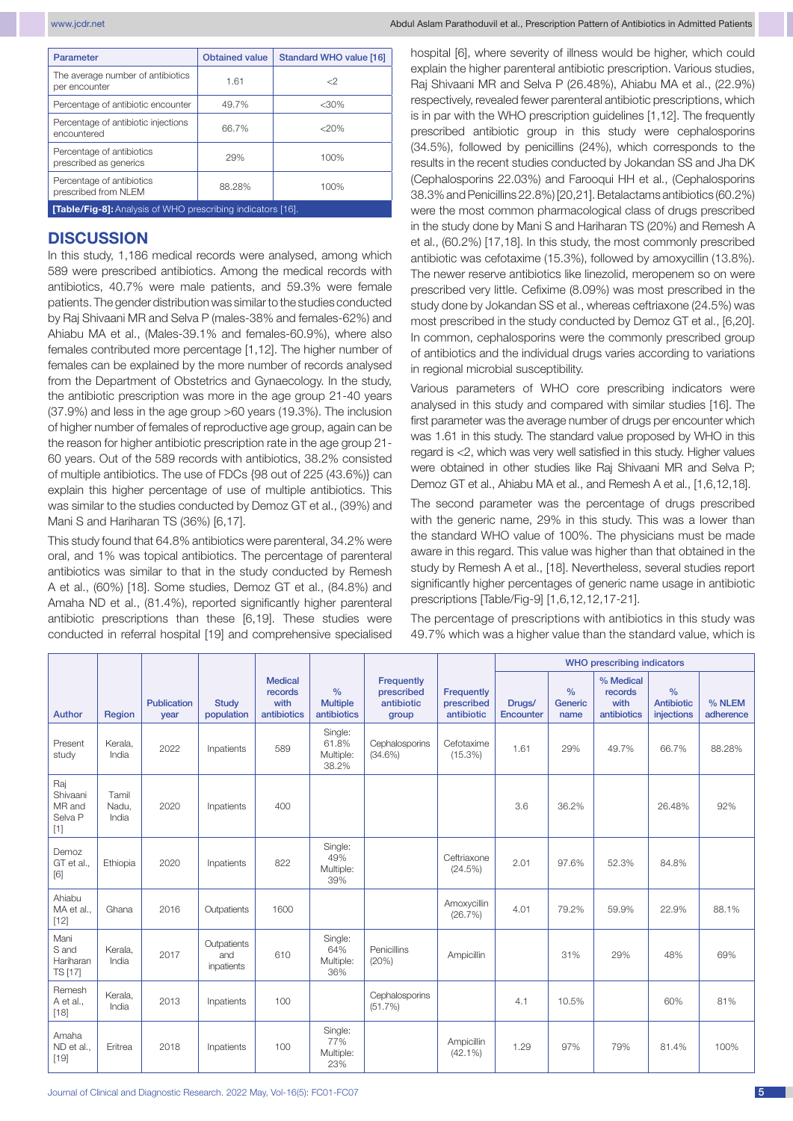| Parameter                                                         | <b>Obtained value</b> | Standard WHO value [16] |
|-------------------------------------------------------------------|-----------------------|-------------------------|
| The average number of antibiotics<br>per encounter                | 1.61                  | $\langle$ 2             |
| Percentage of antibiotic encounter                                | 49.7%                 | $<$ 30%                 |
| Percentage of antibiotic injections<br>encountered                | 66.7%                 | $<$ 20%                 |
| Percentage of antibiotics<br>prescribed as generics               | 29%                   | 100%                    |
| Percentage of antibiotics<br>prescribed from NLEM                 | 88.28%                | 100%                    |
| <b>[Table/Eig-81:</b> Analysis of WHO prescribing indicators [16] |                       |                         |

**[Table/Fig-8]:** Analysis of WHO prescribing indicators [16].

# **DISCUSSION**

In this study, 1,186 medical records were analysed, among which 589 were prescribed antibiotics. Among the medical records with antibiotics, 40.7% were male patients, and 59.3% were female patients. The gender distribution was similar to the studies conducted by Raj Shivaani MR and Selva P (males-38% and females-62%) and Ahiabu MA et al., (Males-39.1% and females-60.9%), where also females contributed more percentage [1,12]. The higher number of females can be explained by the more number of records analysed from the Department of Obstetrics and Gynaecology. In the study, the antibiotic prescription was more in the age group 21-40 years (37.9%) and less in the age group >60 years (19.3%). The inclusion of higher number of females of reproductive age group, again can be the reason for higher antibiotic prescription rate in the age group 21- 60 years. Out of the 589 records with antibiotics, 38.2% consisted of multiple antibiotics. The use of FDCs {98 out of 225 (43.6%)} can explain this higher percentage of use of multiple antibiotics. This was similar to the studies conducted by Demoz GT et al., (39%) and Mani S and Hariharan TS (36%) [6,17].

This study found that 64.8% antibiotics were parenteral, 34.2% were oral, and 1% was topical antibiotics. The percentage of parenteral antibiotics was similar to that in the study conducted by Remesh A et al., (60%) [18]. Some studies, Demoz GT et al., (84.8%) and Amaha ND et al., (81.4%), reported significantly higher parenteral antibiotic prescriptions than these [6,19]. These studies were conducted in referral hospital [19] and comprehensive specialised hospital [6], where severity of illness would be higher, which could explain the higher parenteral antibiotic prescription. Various studies, Raj Shivaani MR and Selva P (26.48%), Ahiabu MA et al., (22.9%) respectively, revealed fewer parenteral antibiotic prescriptions, which is in par with the WHO prescription guidelines [1,12]. The frequently prescribed antibiotic group in this study were cephalosporins (34.5%), followed by penicillins (24%), which corresponds to the results in the recent studies conducted by Jokandan SS and Jha DK (Cephalosporins 22.03%) and Farooqui HH et al., (Cephalosporins 38.3% and Penicillins 22.8%) [20,21]. Betalactams antibiotics (60.2%) were the most common pharmacological class of drugs prescribed in the study done by Mani S and Hariharan TS (20%) and Remesh A et al., (60.2%) [17,18]. In this study, the most commonly prescribed antibiotic was cefotaxime (15.3%), followed by amoxycillin (13.8%). The newer reserve antibiotics like linezolid, meropenem so on were prescribed very little. Cefixime (8.09%) was most prescribed in the study done by Jokandan SS et al., whereas ceftriaxone (24.5%) was most prescribed in the study conducted by Demoz GT et al., [6,20]. In common, cephalosporins were the commonly prescribed group of antibiotics and the individual drugs varies according to variations in regional microbial susceptibility.

Various parameters of WHO core prescribing indicators were analysed in this study and compared with similar studies [16]. The first parameter was the average number of drugs per encounter which was 1.61 in this study. The standard value proposed by WHO in this regard is <2, which was very well satisfied in this study. Higher values were obtained in other studies like Raj Shivaani MR and Selva P; Demoz GT et al., Ahiabu MA et al., and Remesh A et al., [1,6,12,18].

The second parameter was the percentage of drugs prescribed with the generic name, 29% in this study. This was a lower than the standard WHO value of 100%. The physicians must be made aware in this regard. This value was higher than that obtained in the study by Remesh A et al., [18]. Nevertheless, several studies report significantly higher percentages of generic name usage in antibiotic prescriptions [Table/Fig-9] [1,6,12,12,17-21].

The percentage of prescriptions with antibiotics in this study was 49.7% which was a higher value than the standard value, which is

|                                               |                         |                            |                                  |                                                  |                                                 |                                                 |                                        | <b>WHO</b> prescribing indicators |                                  |                                             |                                                  |                     |
|-----------------------------------------------|-------------------------|----------------------------|----------------------------------|--------------------------------------------------|-------------------------------------------------|-------------------------------------------------|----------------------------------------|-----------------------------------|----------------------------------|---------------------------------------------|--------------------------------------------------|---------------------|
| Author                                        | Region                  | <b>Publication</b><br>year | <b>Study</b><br>population       | <b>Medical</b><br>records<br>with<br>antibiotics | $\frac{0}{0}$<br><b>Multiple</b><br>antibiotics | Frequently<br>prescribed<br>antibiotic<br>group | Frequently<br>prescribed<br>antibiotic | Drugs/<br>Encounter               | $\frac{0}{0}$<br>Generic<br>name | % Medical<br>records<br>with<br>antibiotics | $\frac{0}{0}$<br><b>Antibiotic</b><br>injections | % NLEM<br>adherence |
| Present<br>study                              | Kerala.<br>India        | 2022                       | Inpatients                       | 589                                              | Single:<br>61.8%<br>Multiple:<br>38.2%          | Cephalosporins<br>(34.6%)                       | Cefotaxime<br>$(15.3\%)$               | 1.61                              | 29%                              | 49.7%                                       | 66.7%                                            | 88.28%              |
| Raj<br>Shivaani<br>MR and<br>Selva P<br>$[1]$ | Tamil<br>Nadu,<br>India | 2020                       | Inpatients                       | 400                                              |                                                 |                                                 |                                        | 3.6                               | 36.2%                            |                                             | 26.48%                                           | 92%                 |
| Demoz<br>GT et al.,<br>[6]                    | Ethiopia                | 2020                       | Inpatients                       | 822                                              | Single:<br>49%<br>Multiple:<br>39%              |                                                 | Ceftriaxone<br>(24.5%)                 | 2.01                              | 97.6%                            | 52.3%                                       | 84.8%                                            |                     |
| Ahiabu<br>MA et al<br>$[12]$                  | Ghana                   | 2016                       | Outpatients                      | 1600                                             |                                                 |                                                 | Amoxycillin<br>(26.7%)                 | 4.01                              | 79.2%                            | 59.9%                                       | 22.9%                                            | 88.1%               |
| Mani<br>S and<br>Hariharan<br>TS [17]         | Kerala,<br>India        | 2017                       | Outpatients<br>and<br>inpatients | 610                                              | Single:<br>64%<br>Multiple:<br>36%              | Penicillins<br>(20%)                            | Ampicillin                             |                                   | 31%                              | 29%                                         | 48%                                              | 69%                 |
| Remesh<br>A et al.,<br>$[18]$                 | Kerala,<br>India        | 2013                       | Inpatients                       | 100                                              |                                                 | Cephalosporins<br>(51.7%)                       |                                        | 4.1                               | 10.5%                            |                                             | 60%                                              | 81%                 |
| Amaha<br>ND et al.,<br>$[19]$                 | Eritrea                 | 2018                       | Inpatients                       | 100                                              | Single:<br>77%<br>Multiple:<br>23%              |                                                 | Ampicillin<br>$(42.1\%)$               | 1.29                              | 97%                              | 79%                                         | 81.4%                                            | 100%                |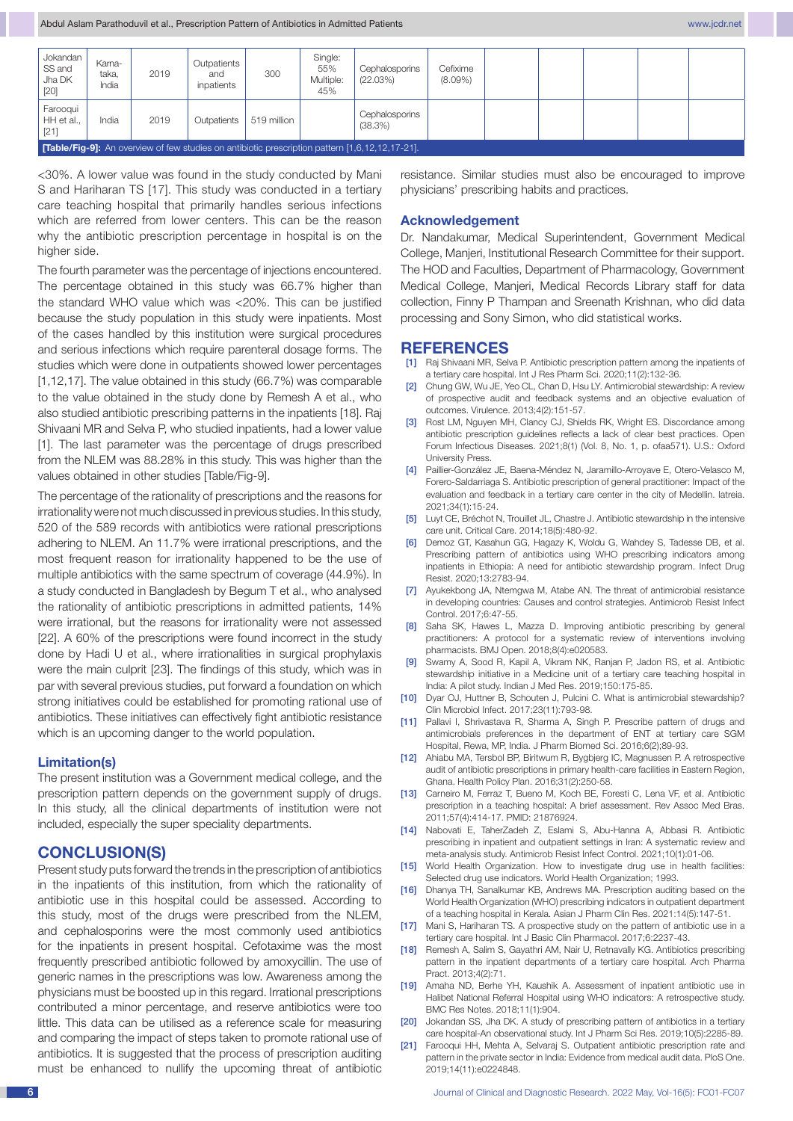| Jokandan<br>SS and<br>Jha DK<br>$\vert$ [20] | Karna-<br>taka,<br>India                                                                               | 2019 | Outpatients<br>and<br>inpatients | 300         | Single:<br>55%<br>Multiple:<br>45% | Cephalosporins<br>(22.03%) | Cefixime<br>$(8.09\%)$ |  |  |  |  |
|----------------------------------------------|--------------------------------------------------------------------------------------------------------|------|----------------------------------|-------------|------------------------------------|----------------------------|------------------------|--|--|--|--|
| Farooqui<br>HH et al.,<br>$\vert$ [21]       | India                                                                                                  | 2019 | Outpatients                      | 519 million |                                    | Cephalosporins<br>(38.3%)  |                        |  |  |  |  |
|                                              | <b>[Table/Fig-9]:</b> An overview of few studies on antibiotic prescription pattern [1,6,12,12,17-21]. |      |                                  |             |                                    |                            |                        |  |  |  |  |

<30%. A lower value was found in the study conducted by Mani S and Hariharan TS [17]. This study was conducted in a tertiary care teaching hospital that primarily handles serious infections which are referred from lower centers. This can be the reason why the antibiotic prescription percentage in hospital is on the higher side.

The fourth parameter was the percentage of injections encountered. The percentage obtained in this study was 66.7% higher than the standard WHO value which was <20%. This can be justified because the study population in this study were inpatients. Most of the cases handled by this institution were surgical procedures and serious infections which require parenteral dosage forms. The studies which were done in outpatients showed lower percentages [1,12,17]. The value obtained in this study (66.7%) was comparable to the value obtained in the study done by Remesh A et al., who also studied antibiotic prescribing patterns in the inpatients [18]. Raj Shivaani MR and Selva P, who studied inpatients, had a lower value [1]. The last parameter was the percentage of drugs prescribed from the NLEM was 88.28% in this study. This was higher than the values obtained in other studies [Table/Fig-9].

The percentage of the rationality of prescriptions and the reasons for irrationality were not much discussed in previous studies. In this study, 520 of the 589 records with antibiotics were rational prescriptions adhering to NLEM. An 11.7% were irrational prescriptions, and the most frequent reason for irrationality happened to be the use of multiple antibiotics with the same spectrum of coverage (44.9%). In a study conducted in Bangladesh by Begum T et al., who analysed the rationality of antibiotic prescriptions in admitted patients, 14% were irrational, but the reasons for irrationality were not assessed [22]. A 60% of the prescriptions were found incorrect in the study done by Hadi U et al., where irrationalities in surgical prophylaxis were the main culprit [23]. The findings of this study, which was in par with several previous studies, put forward a foundation on which strong initiatives could be established for promoting rational use of antibiotics. These initiatives can effectively fight antibiotic resistance which is an upcoming danger to the world population.

#### **Limitation(s)**

The present institution was a Government medical college, and the prescription pattern depends on the government supply of drugs. In this study, all the clinical departments of institution were not included, especially the super speciality departments.

# **CONCLUSION(S)**

Present study puts forward the trends in the prescription of antibiotics in the inpatients of this institution, from which the rationality of antibiotic use in this hospital could be assessed. According to this study, most of the drugs were prescribed from the NLEM, and cephalosporins were the most commonly used antibiotics for the inpatients in present hospital. Cefotaxime was the most frequently prescribed antibiotic followed by amoxycillin. The use of generic names in the prescriptions was low. Awareness among the physicians must be boosted up in this regard. Irrational prescriptions contributed a minor percentage, and reserve antibiotics were too little. This data can be utilised as a reference scale for measuring and comparing the impact of steps taken to promote rational use of antibiotics. It is suggested that the process of prescription auditing must be enhanced to nullify the upcoming threat of antibiotic resistance. Similar studies must also be encouraged to improve physicians' prescribing habits and practices.

#### **Acknowledgement**

Dr. Nandakumar, Medical Superintendent, Government Medical College, Manjeri, Institutional Research Committee for their support. The HOD and Faculties, Department of Pharmacology, Government Medical College, Manjeri, Medical Records Library staff for data collection, Finny P Thampan and Sreenath Krishnan, who did data processing and Sony Simon, who did statistical works.

### **REFERENCES**

- [1] Raj Shivaani MR, Selva P. Antibiotic prescription pattern among the inpatients of a tertiary care hospital. Int J Res Pharm Sci. 2020;11(2):132-36.
- [2] Chung GW, Wu JE, Yeo CL, Chan D, Hsu LY. Antimicrobial stewardship: A review of prospective audit and feedback systems and an objective evaluation of outcomes. Virulence. 2013;4(2):151-57.
- [3] Rost LM, Nguyen MH, Clancy CJ, Shields RK, Wright ES. Discordance among antibiotic prescription guidelines reflects a lack of clear best practices. Open Forum Infectious Diseases. 2021;8(1) (Vol. 8, No. 1, p. ofaa571). U.S.: Oxford University Press.
- [4] Paillier-González JE, Baena-Méndez N, Jaramillo-Arroyave E, Otero-Velasco M, Forero-Saldarriaga S. Antibiotic prescription of general practitioner: Impact of the evaluation and feedback in a tertiary care center in the city of Medellin. Iatreia. 2021;34(1):15-24.
- [5] Luyt CE, Bréchot N, Trouillet JL, Chastre J. Antibiotic stewardship in the intensive care unit. Critical Care. 2014;18(5):480-92.
- [6] Demoz GT, Kasahun GG, Hagazy K, Woldu G, Wahdey S, Tadesse DB, et al. Prescribing pattern of antibiotics using WHO prescribing indicators among inpatients in Ethiopia: A need for antibiotic stewardship program. Infect Drug Resist. 2020;13:2783-94.
- [7] Ayukekbong JA, Ntemgwa M, Atabe AN. The threat of antimicrobial resistance in developing countries: Causes and control strategies. Antimicrob Resist Infect Control. 2017;6:47-55.
- [8] Saha SK, Hawes L, Mazza D. Improving antibiotic prescribing by general practitioners: A protocol for a systematic review of interventions involving pharmacists. BMJ Open. 2018;8(4):e020583.
- [9] Swamy A, Sood R, Kapil A, Vikram NK, Ranjan P, Jadon RS, et al. Antibiotic stewardship initiative in a Medicine unit of a tertiary care teaching hospital in India: A pilot study. Indian J Med Res. 2019;150:175-85.
- [10] Dyar OJ, Huttner B, Schouten J, Pulcini C. What is antimicrobial stewardship? Clin Microbiol Infect. 2017;23(11):793-98.
- [11] Pallavi I, Shrivastava R, Sharma A, Singh P. Prescribe pattern of drugs and antimicrobials preferences in the department of ENT at tertiary care SGM Hospital, Rewa, MP, India. J Pharm Biomed Sci. 2016;6(2);89-93.
- [12] Ahiabu MA, Tersbol BP, Biritwum R, Bygbjerg IC, Magnussen P. A retrospective audit of antibiotic prescriptions in primary health-care facilities in Eastern Region, Ghana. Health Policy Plan. 2016;31(2):250-58.
- [13] Carneiro M, Ferraz T, Bueno M, Koch BE, Foresti C, Lena VF, et al. Antibiotic prescription in a teaching hospital: A brief assessment. Rev Assoc Med Bras. 2011;57(4):414-17. PMID: 21876924.
- [14] Nabovati E, TaherZadeh Z, Eslami S, Abu-Hanna A, Abbasi R. Antibiotic prescribing in inpatient and outpatient settings in Iran: A systematic review and meta-analysis study. Antimicrob Resist Infect Control. 2021;10(1):01-06.
- [15] World Health Organization. How to investigate drug use in health facilities: Selected drug use indicators. World Health Organization; 1993.
- [16] Dhanya TH, Sanalkumar KB, Andrews MA. Prescription auditing based on the World Health Organization (WHO) prescribing indicators in outpatient department of a teaching hospital in Kerala. Asian J Pharm Clin Res. 2021:14(5):147-51.
- [17] Mani S, Hariharan TS. A prospective study on the pattern of antibiotic use in a tertiary care hospital. Int J Basic Clin Pharmacol. 2017;6:2237-43.
- [18] Remesh A, Salim S, Gayathri AM, Nair U, Retnavally KG. Antibiotics prescribing pattern in the inpatient departments of a tertiary care hospital. Arch Pharma Pract. 2013;4(2):71.
- [19] Amaha ND, Berhe YH, Kaushik A. Assessment of inpatient antibiotic use in Halibet National Referral Hospital using WHO indicators: A retrospective study. BMC Res Notes. 2018;11(1):904.
- [20] Jokandan SS, Jha DK. A study of prescribing pattern of antibiotics in a tertiary care hospital-An observational study. Int J Pharm Sci Res. 2019;10(5):2285-89.
- [21] Farooqui HH, Mehta A, Selvaraj S. Outpatient antibiotic prescription rate and pattern in the private sector in India: Evidence from medical audit data. PloS One. 2019;14(11):e0224848.